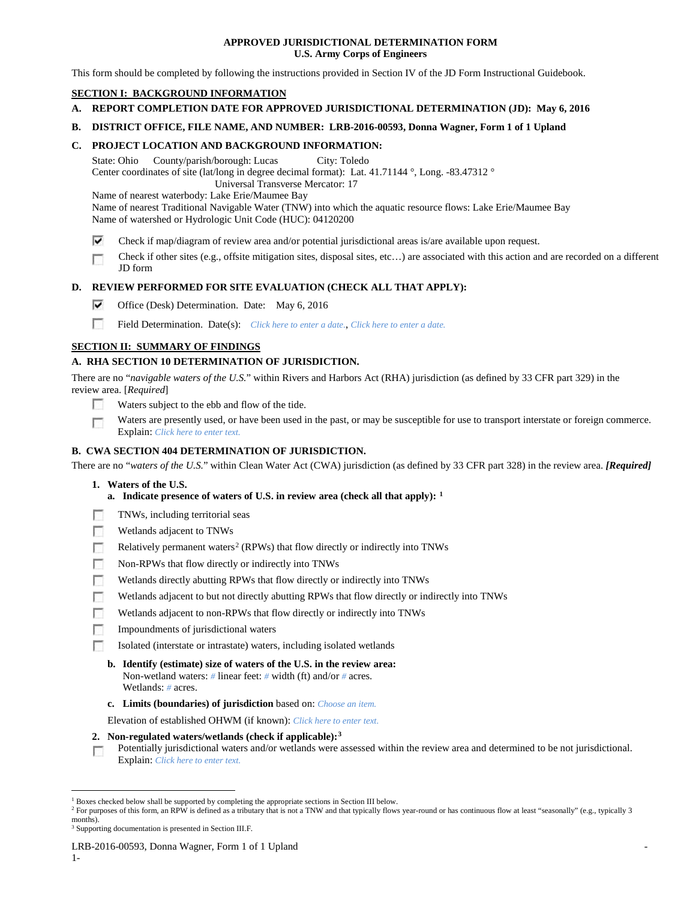# **APPROVED JURISDICTIONAL DETERMINATION FORM U.S. Army Corps of Engineers**

This form should be completed by following the instructions provided in Section IV of the JD Form Instructional Guidebook.

# **SECTION I: BACKGROUND INFORMATION**

- **A. REPORT COMPLETION DATE FOR APPROVED JURISDICTIONAL DETERMINATION (JD): May 6, 2016**
- **B. DISTRICT OFFICE, FILE NAME, AND NUMBER: LRB-2016-00593, Donna Wagner, Form 1 of 1 Upland**

### **C. PROJECT LOCATION AND BACKGROUND INFORMATION:**

State: Ohio County/parish/borough: Lucas City: Toledo Center coordinates of site (lat/long in degree decimal format): Lat. 41.71144 °, Long. -83.47312 ° Universal Transverse Mercator: 17

Name of nearest waterbody: Lake Erie/Maumee Bay

Name of nearest Traditional Navigable Water (TNW) into which the aquatic resource flows: Lake Erie/Maumee Bay Name of watershed or Hydrologic Unit Code (HUC): 04120200

- ⊽ Check if map/diagram of review area and/or potential jurisdictional areas is/are available upon request.
- Check if other sites (e.g., offsite mitigation sites, disposal sites, etc…) are associated with this action and are recorded on a different г JD form

# **D. REVIEW PERFORMED FOR SITE EVALUATION (CHECK ALL THAT APPLY):**

- ⊽ Office (Desk) Determination. Date: May 6, 2016
- n Field Determination. Date(s): *Click here to enter a date.*, *Click here to enter a date.*

# **SECTION II: SUMMARY OF FINDINGS**

# **A. RHA SECTION 10 DETERMINATION OF JURISDICTION.**

There are no "*navigable waters of the U.S.*" within Rivers and Harbors Act (RHA) jurisdiction (as defined by 33 CFR part 329) in the review area. [*Required*]

- n Waters subject to the ebb and flow of the tide.
- Waters are presently used, or have been used in the past, or may be susceptible for use to transport interstate or foreign commerce. п Explain: *Click here to enter text.*

# **B. CWA SECTION 404 DETERMINATION OF JURISDICTION.**

There are no "*waters of the U.S.*" within Clean Water Act (CWA) jurisdiction (as defined by 33 CFR part 328) in the review area. *[Required]*

## **1. Waters of the U.S.**

- **a. Indicate presence of waters of U.S. in review area (check all that apply): [1](#page-0-0)**
- TNWs, including territorial seas
- п. Wetlands adjacent to TNWs
- Relatively permanent waters<sup>[2](#page-0-1)</sup> (RPWs) that flow directly or indirectly into TNWs m
- Non-RPWs that flow directly or indirectly into TNWs
- $\sim$ Wetlands directly abutting RPWs that flow directly or indirectly into TNWs
- Wetlands adjacent to but not directly abutting RPWs that flow directly or indirectly into TNWs
- Wetlands adjacent to non-RPWs that flow directly or indirectly into TNWs
- n Impoundments of jurisdictional waters
- Isolated (interstate or intrastate) waters, including isolated wetlands
	- **b. Identify (estimate) size of waters of the U.S. in the review area:** Non-wetland waters: *#* linear feet: *#* width (ft) and/or *#* acres. Wetlands: *#* acres.
	- **c. Limits (boundaries) of jurisdiction** based on: *Choose an item.*

Elevation of established OHWM (if known): *Click here to enter text.*

- **2. Non-regulated waters/wetlands (check if applicable):[3](#page-0-2)**
- Potentially jurisdictional waters and/or wetlands were assessed within the review area and determined to be not jurisdictional. г Explain: *Click here to enter text.*

<sup>&</sup>lt;sup>1</sup> Boxes checked below shall be supported by completing the appropriate sections in Section III below.

<span id="page-0-1"></span><span id="page-0-0"></span><sup>&</sup>lt;sup>2</sup> For purposes of this form, an RPW is defined as a tributary that is not a TNW and that typically flows year-round or has continuous flow at least "seasonally" (e.g., typically 3 months).

<span id="page-0-2"></span><sup>&</sup>lt;sup>3</sup> Supporting documentation is presented in Section III.F.

LRB-2016-00593, Donna Wagner, Form 1 of 1 Upland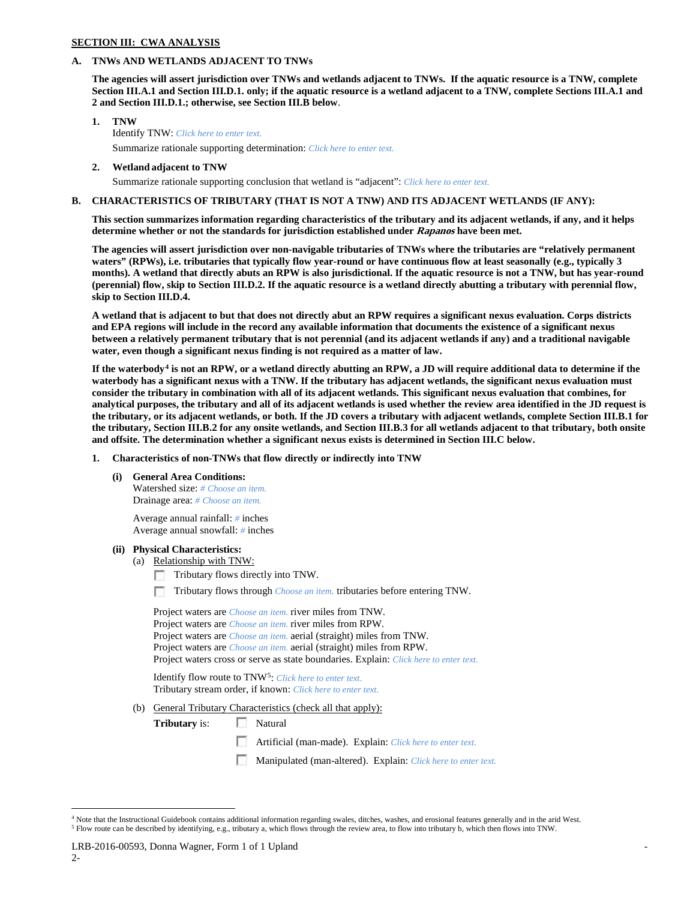#### **SECTION III: CWA ANALYSIS**

### **A. TNWs AND WETLANDS ADJACENT TO TNWs**

**The agencies will assert jurisdiction over TNWs and wetlands adjacent to TNWs. If the aquatic resource is a TNW, complete Section III.A.1 and Section III.D.1. only; if the aquatic resource is a wetland adjacent to a TNW, complete Sections III.A.1 and 2 and Section III.D.1.; otherwise, see Section III.B below**.

- **1. TNW**  Identify TNW: *Click here to enter text.* Summarize rationale supporting determination: *Click here to enter text.*
- **2. Wetland adjacent to TNW** Summarize rationale supporting conclusion that wetland is "adjacent": *Click here to enter text.*

# **B. CHARACTERISTICS OF TRIBUTARY (THAT IS NOT A TNW) AND ITS ADJACENT WETLANDS (IF ANY):**

**This section summarizes information regarding characteristics of the tributary and its adjacent wetlands, if any, and it helps determine whether or not the standards for jurisdiction established under Rapanos have been met.** 

**The agencies will assert jurisdiction over non-navigable tributaries of TNWs where the tributaries are "relatively permanent waters" (RPWs), i.e. tributaries that typically flow year-round or have continuous flow at least seasonally (e.g., typically 3 months). A wetland that directly abuts an RPW is also jurisdictional. If the aquatic resource is not a TNW, but has year-round (perennial) flow, skip to Section III.D.2. If the aquatic resource is a wetland directly abutting a tributary with perennial flow, skip to Section III.D.4.**

**A wetland that is adjacent to but that does not directly abut an RPW requires a significant nexus evaluation. Corps districts and EPA regions will include in the record any available information that documents the existence of a significant nexus between a relatively permanent tributary that is not perennial (and its adjacent wetlands if any) and a traditional navigable water, even though a significant nexus finding is not required as a matter of law.**

**If the waterbody[4](#page-1-0) is not an RPW, or a wetland directly abutting an RPW, a JD will require additional data to determine if the waterbody has a significant nexus with a TNW. If the tributary has adjacent wetlands, the significant nexus evaluation must consider the tributary in combination with all of its adjacent wetlands. This significant nexus evaluation that combines, for analytical purposes, the tributary and all of its adjacent wetlands is used whether the review area identified in the JD request is the tributary, or its adjacent wetlands, or both. If the JD covers a tributary with adjacent wetlands, complete Section III.B.1 for the tributary, Section III.B.2 for any onsite wetlands, and Section III.B.3 for all wetlands adjacent to that tributary, both onsite and offsite. The determination whether a significant nexus exists is determined in Section III.C below.**

#### **1. Characteristics of non-TNWs that flow directly or indirectly into TNW**

**(i) General Area Conditions:**

Watershed size: *# Choose an item.* Drainage area: *# Choose an item.*

Average annual rainfall: *#* inches Average annual snowfall: *#* inches

### **(ii) Physical Characteristics:**

- (a) Relationship with TNW:
	- п Tributary flows directly into TNW.
	- Tributary flows through *Choose an item.* tributaries before entering TNW.

Project waters are *Choose an item.* river miles from TNW. Project waters are *Choose an item.* river miles from RPW. Project waters are *Choose an item.* aerial (straight) miles from TNW. Project waters are *Choose an item.* aerial (straight) miles from RPW. Project waters cross or serve as state boundaries. Explain: *Click here to enter text.*

Identify flow route to TNW[5](#page-1-1): *Click here to enter text.* Tributary stream order, if known: *Click here to enter text.*

- (b) General Tributary Characteristics (check all that apply):
	- **Tributary** is: Natural
		- Artificial (man-made). Explain: *Click here to enter text.*
		- Manipulated (man-altered). Explain: *Click here to enter text.*

<span id="page-1-1"></span><span id="page-1-0"></span> <sup>4</sup> Note that the Instructional Guidebook contains additional information regarding swales, ditches, washes, and erosional features generally and in the arid West. <sup>5</sup> Flow route can be described by identifying, e.g., tributary a, which flows through the review area, to flow into tributary b, which then flows into TNW.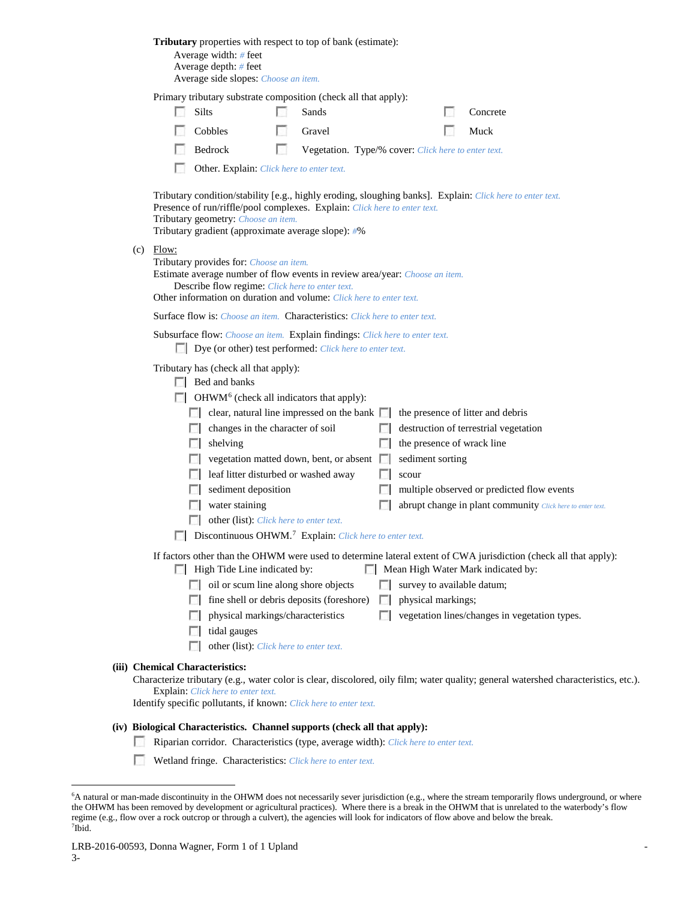|     |                                                                                                                                                                                                                                                           | <b>Tributary</b> properties with respect to top of bank (estimate):<br>Average width: # feet<br>Average depth: # feet<br>Average side slopes: Choose an item.                                                                                                                                                                                                                                        |                                                                                                    |                                                     |                |                                                         |  |                                                                                                                                                                                                                                                                                                            |  |
|-----|-----------------------------------------------------------------------------------------------------------------------------------------------------------------------------------------------------------------------------------------------------------|------------------------------------------------------------------------------------------------------------------------------------------------------------------------------------------------------------------------------------------------------------------------------------------------------------------------------------------------------------------------------------------------------|----------------------------------------------------------------------------------------------------|-----------------------------------------------------|----------------|---------------------------------------------------------|--|------------------------------------------------------------------------------------------------------------------------------------------------------------------------------------------------------------------------------------------------------------------------------------------------------------|--|
|     |                                                                                                                                                                                                                                                           | Primary tributary substrate composition (check all that apply):                                                                                                                                                                                                                                                                                                                                      |                                                                                                    |                                                     |                |                                                         |  |                                                                                                                                                                                                                                                                                                            |  |
|     | L.                                                                                                                                                                                                                                                        | <b>Silts</b>                                                                                                                                                                                                                                                                                                                                                                                         |                                                                                                    | Sands                                               |                |                                                         |  | Concrete                                                                                                                                                                                                                                                                                                   |  |
|     |                                                                                                                                                                                                                                                           | Cobbles                                                                                                                                                                                                                                                                                                                                                                                              |                                                                                                    | Gravel                                              |                |                                                         |  | Muck                                                                                                                                                                                                                                                                                                       |  |
|     |                                                                                                                                                                                                                                                           | Bedrock                                                                                                                                                                                                                                                                                                                                                                                              | L.                                                                                                 | Vegetation. Type/% cover: Click here to enter text. |                |                                                         |  |                                                                                                                                                                                                                                                                                                            |  |
|     |                                                                                                                                                                                                                                                           | Other. Explain: Click here to enter text.                                                                                                                                                                                                                                                                                                                                                            |                                                                                                    |                                                     |                |                                                         |  |                                                                                                                                                                                                                                                                                                            |  |
|     |                                                                                                                                                                                                                                                           | Presence of run/riffle/pool complexes. Explain: Click here to enter text.<br>Tributary geometry: Choose an item.<br>Tributary gradient (approximate average slope): #%                                                                                                                                                                                                                               |                                                                                                    |                                                     |                |                                                         |  | Tributary condition/stability [e.g., highly eroding, sloughing banks]. Explain: Click here to enter text.                                                                                                                                                                                                  |  |
| (c) | Flow:<br>Tributary provides for: Choose an item.<br>Estimate average number of flow events in review area/year: Choose an item.<br>Describe flow regime: Click here to enter text.<br>Other information on duration and volume: Click here to enter text. |                                                                                                                                                                                                                                                                                                                                                                                                      |                                                                                                    |                                                     |                |                                                         |  |                                                                                                                                                                                                                                                                                                            |  |
|     |                                                                                                                                                                                                                                                           | <b>Surface flow is:</b> <i>Choose an item.</i> <b>Characteristics:</b> <i>Click here to enter text.</i>                                                                                                                                                                                                                                                                                              |                                                                                                    |                                                     |                |                                                         |  |                                                                                                                                                                                                                                                                                                            |  |
|     |                                                                                                                                                                                                                                                           | Subsurface flow: Choose an item. Explain findings: Click here to enter text.<br>Dye (or other) test performed: Click here to enter text.                                                                                                                                                                                                                                                             |                                                                                                    |                                                     |                |                                                         |  |                                                                                                                                                                                                                                                                                                            |  |
|     |                                                                                                                                                                                                                                                           | Tributary has (check all that apply):<br>$\Box$ Bed and banks<br>$\Box$ OHWM <sup>6</sup> (check all indicators that apply):<br>$\Box$ clear, natural line impressed on the bank $\Box$<br>shelving<br>$\Box$ vegetation matted down, bent, or absent $\Box$<br>$\Box$ leaf litter disturbed or washed away<br>water staining<br>Discontinuous OHWM. <sup>7</sup> Explain: Click here to enter text. | changes in the character of soil<br>sediment deposition<br>other (list): Click here to enter text. |                                                     |                | the presence of wrack line<br>sediment sorting<br>scour |  | the presence of litter and debris<br>destruction of terrestrial vegetation<br>multiple observed or predicted flow events<br>abrupt change in plant community Click here to enter text.<br>If factors other than the OHWM were used to determine lateral extent of CWA jurisdiction (check all that apply): |  |
|     |                                                                                                                                                                                                                                                           | High Tide Line indicated by:                                                                                                                                                                                                                                                                                                                                                                         |                                                                                                    |                                                     |                |                                                         |  | Mean High Water Mark indicated by:                                                                                                                                                                                                                                                                         |  |
|     |                                                                                                                                                                                                                                                           | oil or scum line along shore objects                                                                                                                                                                                                                                                                                                                                                                 |                                                                                                    |                                                     |                | survey to available datum;                              |  |                                                                                                                                                                                                                                                                                                            |  |
|     |                                                                                                                                                                                                                                                           |                                                                                                                                                                                                                                                                                                                                                                                                      |                                                                                                    | fine shell or debris deposits (foreshore)           | L.             | physical markings;                                      |  |                                                                                                                                                                                                                                                                                                            |  |
|     |                                                                                                                                                                                                                                                           | tidal gauges                                                                                                                                                                                                                                                                                                                                                                                         | physical markings/characteristics                                                                  |                                                     | <b>Taratta</b> |                                                         |  | vegetation lines/changes in vegetation types.                                                                                                                                                                                                                                                              |  |
|     |                                                                                                                                                                                                                                                           |                                                                                                                                                                                                                                                                                                                                                                                                      | other (list): Click here to enter text.                                                            |                                                     |                |                                                         |  |                                                                                                                                                                                                                                                                                                            |  |
|     |                                                                                                                                                                                                                                                           | (iii) Chemical Characteristics:<br><b>Explain:</b> Click here to enter text.<br>Identify specific pollutants, if known: Click here to enter text.                                                                                                                                                                                                                                                    |                                                                                                    |                                                     |                |                                                         |  | Characterize tributary (e.g., water color is clear, discolored, oily film; water quality; general watershed characteristics, etc.).                                                                                                                                                                        |  |
|     |                                                                                                                                                                                                                                                           | (iv) Biological Characteristics. Channel supports (check all that apply):<br>Riparian corridor. Characteristics (type, average width): Click here to enter text.                                                                                                                                                                                                                                     |                                                                                                    |                                                     |                |                                                         |  |                                                                                                                                                                                                                                                                                                            |  |

Wetland fringe. Characteristics: *Click here to enter text.* 

<span id="page-2-1"></span><span id="page-2-0"></span> <sup>6</sup> <sup>6</sup>A natural or man-made discontinuity in the OHWM does not necessarily sever jurisdiction (e.g., where the stream temporarily flows underground, or where the OHWM has been removed by development or agricultural practices). Where there is a break in the OHWM that is unrelated to the waterbody's flow regime (e.g., flow over a rock outcrop or through a culvert), the agencies will look for indicators of flow above and below the break. 7 Ibid.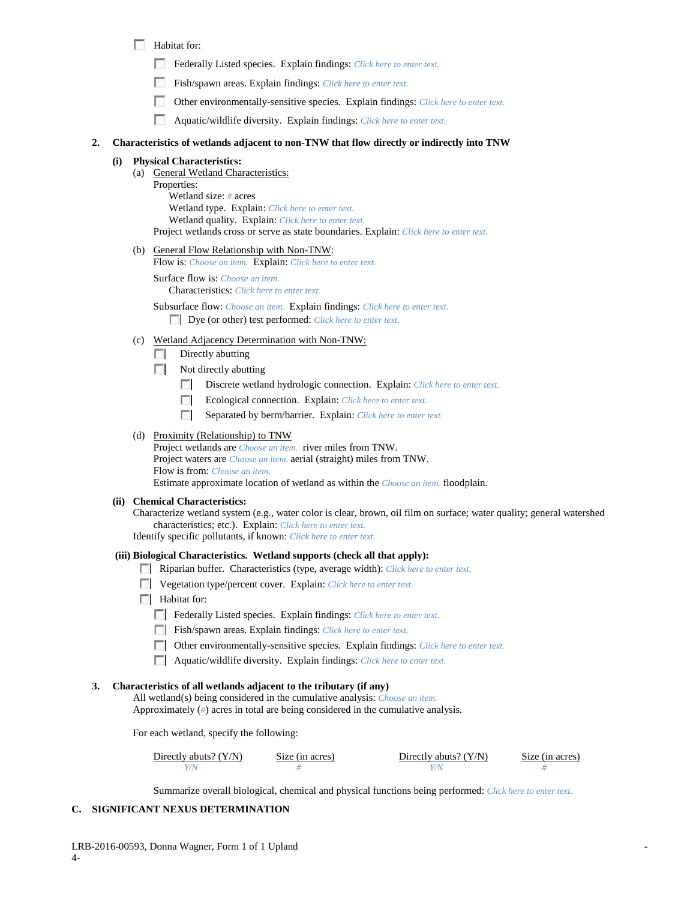- Habitat for:
	- Federally Listed species. Explain findings: *Click here to enter text.*
	- Fish/spawn areas. Explain findings: *Click here to enter text.*
	- Other environmentally-sensitive species. Explain findings: *Click here to enter text.*
	- Aquatic/wildlife diversity. Explain findings: *Click here to enter text.*

#### **2. Characteristics of wetlands adjacent to non-TNW that flow directly or indirectly into TNW**

# **(i) Physical Characteristics:**

- (a) General Wetland Characteristics:
	- Properties: Wetland size: *#* acres Wetland type. Explain: *Click here to enter text.* Wetland quality. Explain: *Click here to enter text.* Project wetlands cross or serve as state boundaries. Explain: *Click here to enter text.*
- (b) General Flow Relationship with Non-TNW:

Flow is: *Choose an item.* Explain: *Click here to enter text.*

Surface flow is: *Choose an item.* Characteristics: *Click here to enter text.*

Subsurface flow: *Choose an item.* Explain findings: *Click here to enter text.* Dye (or other) test performed: *Click here to enter text.*

- (c) Wetland Adjacency Determination with Non-TNW:
	- $\Box$  Directly abutting
	- $\Box$  Not directly abutting
		- Discrete wetland hydrologic connection. Explain: *Click here to enter text.*  $\mathcal{L}$
		- Ecological connection. Explain: *Click here to enter text.* п
		- п Separated by berm/barrier. Explain: *Click here to enter text.*

## (d) Proximity (Relationship) to TNW

Project wetlands are *Choose an item.* river miles from TNW. Project waters are *Choose an item.* aerial (straight) miles from TNW. Flow is from: *Choose an item.* Estimate approximate location of wetland as within the *Choose an item.* floodplain.

#### **(ii) Chemical Characteristics:**

Characterize wetland system (e.g., water color is clear, brown, oil film on surface; water quality; general watershed characteristics; etc.). Explain: *Click here to enter text.*

Identify specific pollutants, if known: *Click here to enter text.*

#### **(iii) Biological Characteristics. Wetland supports (check all that apply):**

- Riparian buffer. Characteristics (type, average width): *Click here to enter text.*
- Vegetation type/percent cover. Explain: *Click here to enter text.*
- **Habitat for:** 
	- Federally Listed species. Explain findings: *Click here to enter text.*
	- Fish/spawn areas. Explain findings: *Click here to enter text.*
	- Other environmentally-sensitive species. Explain findings: *Click here to enter text.*
	- Aquatic/wildlife diversity. Explain findings: *Click here to enter text.*

#### **3. Characteristics of all wetlands adjacent to the tributary (if any)**

All wetland(s) being considered in the cumulative analysis: *Choose an item.* Approximately (*#*) acres in total are being considered in the cumulative analysis.

For each wetland, specify the following:

| Directly abuts? (Y/N) | Size (in acres) | Directly abuts? $(Y/N)$ | Size (in acres) |
|-----------------------|-----------------|-------------------------|-----------------|
|                       |                 |                         |                 |

Summarize overall biological, chemical and physical functions being performed: *Click here to enter text.*

# **C. SIGNIFICANT NEXUS DETERMINATION**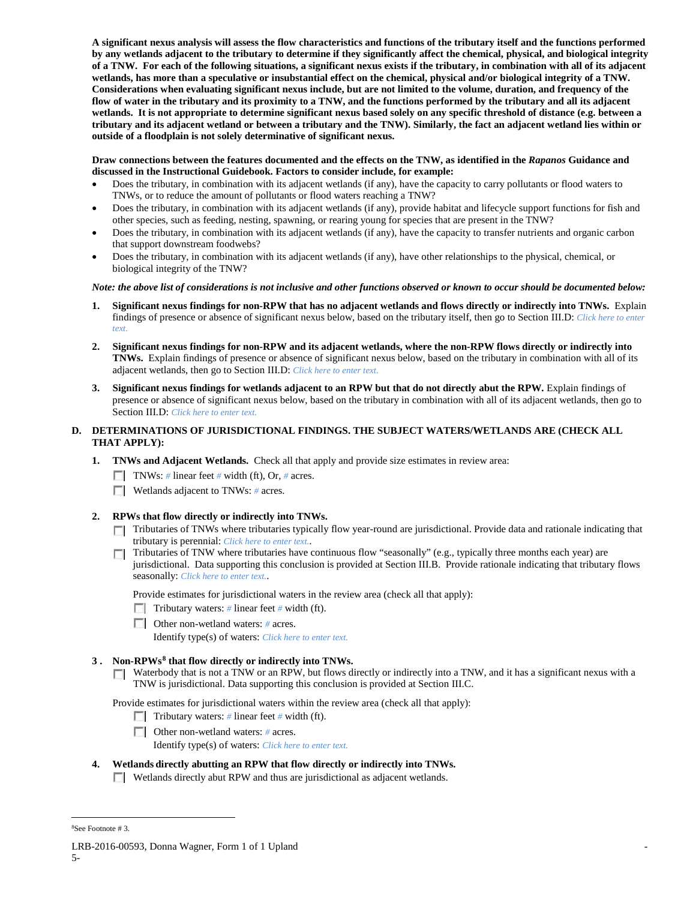**A significant nexus analysis will assess the flow characteristics and functions of the tributary itself and the functions performed by any wetlands adjacent to the tributary to determine if they significantly affect the chemical, physical, and biological integrity of a TNW. For each of the following situations, a significant nexus exists if the tributary, in combination with all of its adjacent wetlands, has more than a speculative or insubstantial effect on the chemical, physical and/or biological integrity of a TNW. Considerations when evaluating significant nexus include, but are not limited to the volume, duration, and frequency of the flow of water in the tributary and its proximity to a TNW, and the functions performed by the tributary and all its adjacent wetlands. It is not appropriate to determine significant nexus based solely on any specific threshold of distance (e.g. between a tributary and its adjacent wetland or between a tributary and the TNW). Similarly, the fact an adjacent wetland lies within or outside of a floodplain is not solely determinative of significant nexus.** 

### **Draw connections between the features documented and the effects on the TNW, as identified in the** *Rapanos* **Guidance and discussed in the Instructional Guidebook. Factors to consider include, for example:**

- Does the tributary, in combination with its adjacent wetlands (if any), have the capacity to carry pollutants or flood waters to TNWs, or to reduce the amount of pollutants or flood waters reaching a TNW?
- Does the tributary, in combination with its adjacent wetlands (if any), provide habitat and lifecycle support functions for fish and other species, such as feeding, nesting, spawning, or rearing young for species that are present in the TNW?
- Does the tributary, in combination with its adjacent wetlands (if any), have the capacity to transfer nutrients and organic carbon that support downstream foodwebs?
- Does the tributary, in combination with its adjacent wetlands (if any), have other relationships to the physical, chemical, or biological integrity of the TNW?

## *Note: the above list of considerations is not inclusive and other functions observed or known to occur should be documented below:*

- **1. Significant nexus findings for non-RPW that has no adjacent wetlands and flows directly or indirectly into TNWs.** Explain findings of presence or absence of significant nexus below, based on the tributary itself, then go to Section III.D: *Click here to enter text.*
- **2. Significant nexus findings for non-RPW and its adjacent wetlands, where the non-RPW flows directly or indirectly into TNWs.** Explain findings of presence or absence of significant nexus below, based on the tributary in combination with all of its adjacent wetlands, then go to Section III.D: *Click here to enter text.*
- **3. Significant nexus findings for wetlands adjacent to an RPW but that do not directly abut the RPW.** Explain findings of presence or absence of significant nexus below, based on the tributary in combination with all of its adjacent wetlands, then go to Section III.D: *Click here to enter text*.

# **D. DETERMINATIONS OF JURISDICTIONAL FINDINGS. THE SUBJECT WATERS/WETLANDS ARE (CHECK ALL THAT APPLY):**

- **1. TNWs and Adjacent Wetlands.** Check all that apply and provide size estimates in review area:
	- TNWs: *#* linear feet *#* width (ft), Or, *#* acres.
	- **Wetlands adjacent to TNWs: # acres.**

# **2. RPWs that flow directly or indirectly into TNWs.**

- Tributaries of TNWs where tributaries typically flow year-round are jurisdictional. Provide data and rationale indicating that tributary is perennial: *Click here to enter text.*.
- $\Box$  Tributaries of TNW where tributaries have continuous flow "seasonally" (e.g., typically three months each year) are jurisdictional. Data supporting this conclusion is provided at Section III.B. Provide rationale indicating that tributary flows seasonally: *Click here to enter text.*.

Provide estimates for jurisdictional waters in the review area (check all that apply):

- **Tributary waters:** # linear feet # width (ft).
- Other non-wetland waters: *#* acres.
	- Identify type(s) of waters: *Click here to enter text.*

# **3 . Non-RPWs[8](#page-4-0) that flow directly or indirectly into TNWs.**

 $\Box$  Waterbody that is not a TNW or an RPW, but flows directly or indirectly into a TNW, and it has a significant nexus with a TNW is jurisdictional. Data supporting this conclusion is provided at Section III.C.

Provide estimates for jurisdictional waters within the review area (check all that apply):

- **Tributary waters:** # linear feet # width (ft).
- Other non-wetland waters: *#* acres. Identify type(s) of waters: *Click here to enter text.*
- **4. Wetlands directly abutting an RPW that flow directly or indirectly into TNWs.**

Wetlands directly abut RPW and thus are jurisdictional as adjacent wetlands.

 $\frac{1}{8}$ See Footnote # 3.

<span id="page-4-0"></span>LRB-2016-00593, Donna Wagner, Form 1 of 1 Upland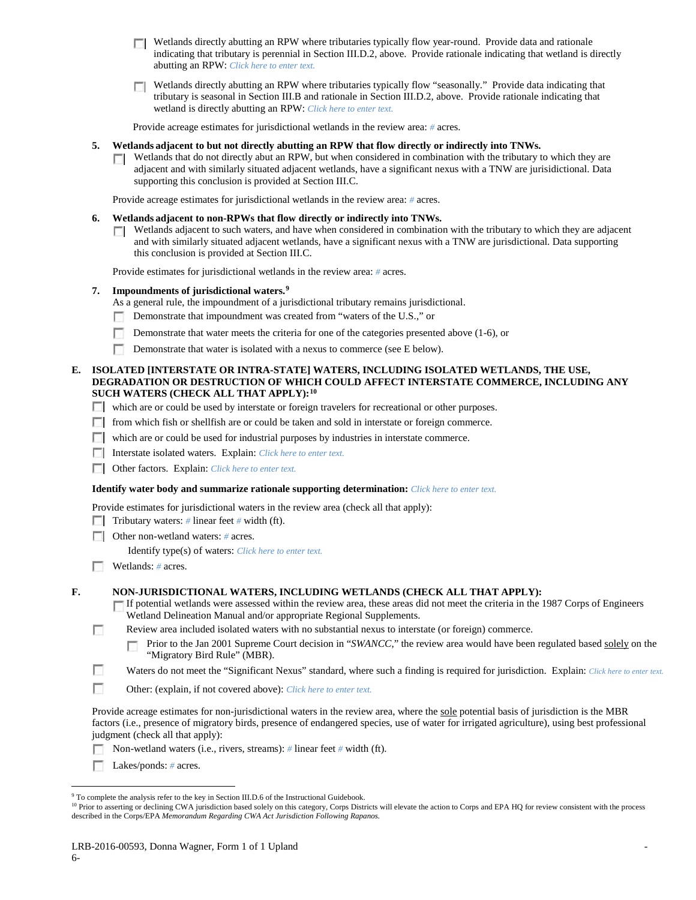- $\Box$  Wetlands directly abutting an RPW where tributaries typically flow year-round. Provide data and rationale indicating that tributary is perennial in Section III.D.2, above. Provide rationale indicating that wetland is directly abutting an RPW: *Click here to enter text.*
- Wetlands directly abutting an RPW where tributaries typically flow "seasonally." Provide data indicating that tributary is seasonal in Section III.B and rationale in Section III.D.2, above. Provide rationale indicating that wetland is directly abutting an RPW: *Click here to enter text.*

Provide acreage estimates for jurisdictional wetlands in the review area: *#* acres.

#### **5. Wetlands adjacent to but not directly abutting an RPW that flow directly or indirectly into TNWs.**

 $\Box$  Wetlands that do not directly abut an RPW, but when considered in combination with the tributary to which they are adjacent and with similarly situated adjacent wetlands, have a significant nexus with a TNW are jurisidictional. Data supporting this conclusion is provided at Section III.C.

Provide acreage estimates for jurisdictional wetlands in the review area: *#* acres.

#### **6. Wetlands adjacent to non-RPWs that flow directly or indirectly into TNWs.**

 $\Box$  Wetlands adjacent to such waters, and have when considered in combination with the tributary to which they are adjacent and with similarly situated adjacent wetlands, have a significant nexus with a TNW are jurisdictional. Data supporting this conclusion is provided at Section III.C.

Provide estimates for jurisdictional wetlands in the review area: *#* acres.

### **7. Impoundments of jurisdictional waters. [9](#page-5-0)**

As a general rule, the impoundment of a jurisdictional tributary remains jurisdictional.

- $\sim$ Demonstrate that impoundment was created from "waters of the U.S.," or
- П Demonstrate that water meets the criteria for one of the categories presented above (1-6), or
- Demonstrate that water is isolated with a nexus to commerce (see E below).

### **E. ISOLATED [INTERSTATE OR INTRA-STATE] WATERS, INCLUDING ISOLATED WETLANDS, THE USE, DEGRADATION OR DESTRUCTION OF WHICH COULD AFFECT INTERSTATE COMMERCE, INCLUDING ANY SUCH WATERS (CHECK ALL THAT APPLY):[10](#page-5-1)**

- which are or could be used by interstate or foreign travelers for recreational or other purposes.
- $\Box$  from which fish or shellfish are or could be taken and sold in interstate or foreign commerce.
- which are or could be used for industrial purposes by industries in interstate commerce.
- Interstate isolated waters.Explain: *Click here to enter text.*
- Other factors.Explain: *Click here to enter text.*

#### **Identify water body and summarize rationale supporting determination:** *Click here to enter text.*

Provide estimates for jurisdictional waters in the review area (check all that apply):

**Tributary waters:** # linear feet # width (ft).

Other non-wetland waters: *#* acres.

Identify type(s) of waters: *Click here to enter text.*

**Wetlands:** # acres.

#### **F. NON-JURISDICTIONAL WATERS, INCLUDING WETLANDS (CHECK ALL THAT APPLY):**

- If potential wetlands were assessed within the review area, these areas did not meet the criteria in the 1987 Corps of Engineers Wetland Delineation Manual and/or appropriate Regional Supplements.
- П Review area included isolated waters with no substantial nexus to interstate (or foreign) commerce.
	- Prior to the Jan 2001 Supreme Court decision in "*SWANCC*," the review area would have been regulated based solely on the г "Migratory Bird Rule" (MBR).
- $\sim$ Waters do not meet the "Significant Nexus" standard, where such a finding is required for jurisdiction. Explain: *Click here to enter text.*
- **D** Other: (explain, if not covered above): *Click here to enter text.*

Provide acreage estimates for non-jurisdictional waters in the review area, where the sole potential basis of jurisdiction is the MBR factors (i.e., presence of migratory birds, presence of endangered species, use of water for irrigated agriculture), using best professional judgment (check all that apply):

- Non-wetland waters (i.e., rivers, streams): *#* linear feet *#* width (ft). г.
- **Lakes/ponds:** # acres.

<sup>&</sup>lt;sup>9</sup> To complete the analysis refer to the key in Section III.D.6 of the Instructional Guidebook.

<span id="page-5-1"></span><span id="page-5-0"></span><sup>&</sup>lt;sup>10</sup> Prior to asserting or declining CWA jurisdiction based solely on this category, Corps Districts will elevate the action to Corps and EPA HQ for review consistent with the process described in the Corps/EPA *Memorandum Regarding CWA Act Jurisdiction Following Rapanos.*